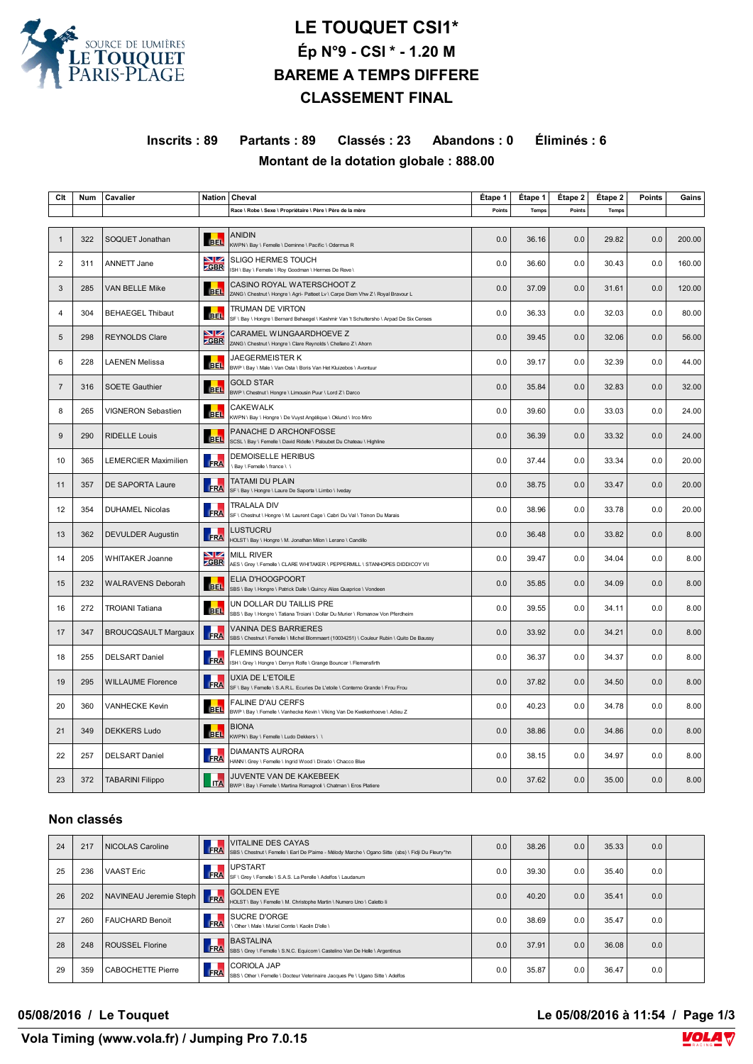

# **LE TOUQUET CSI1\* Ép N°9 - CSI \* - 1.20 M BAREME A TEMPS DIFFERE CLASSEMENT FINAL**

#### **Inscrits : 89 Partants : 89 Classés : 23 Abandons : 0 Éliminés : 6 Montant de la dotation globale : 888.00**

| Clt            | Num | Cavalier                    |                   | Nation   Cheval                                                                                                  | Etape 1 | Etape 1 | Étape 2 | Étape 2 | <b>Points</b> | Gains  |
|----------------|-----|-----------------------------|-------------------|------------------------------------------------------------------------------------------------------------------|---------|---------|---------|---------|---------------|--------|
|                |     |                             |                   | Race \ Robe \ Sexe \ Propriétaire \ Père \ Père de la mère                                                       | Points  | Temps   | Points  | Temps   |               |        |
|                |     |                             |                   |                                                                                                                  |         |         |         |         |               |        |
| $\mathbf{1}$   | 322 | SOQUET Jonathan             | <b>BEL</b>        | <b>ANIDIN</b><br>KWPN \ Bay \ Femelle \ Deminne \ Pacific \ Odermus R                                            | 0.0     | 36.16   | 0.0     | 29.82   | 0.0           | 200.00 |
| 2              | 311 | ANNETT Jane                 | VZ<br><b>ZGBR</b> | <b>SLIGO HERMES TOUCH</b><br>ISH \ Bay \ Femelle \ Roy Goodman \ Hermes De Reve \                                | 0.0     | 36.60   | 0.0     | 30.43   | 0.0           | 160.00 |
| 3              | 285 | <b>VAN BELLE Mike</b>       | <b>BEL</b>        | CASINO ROYAL WATERSCHOOT Z<br>ZANG \ Chestnut \ Hongre \ Agri- Patteet Lv \ Carpe Diem Vhw Z \ Royal Bravour L   | 0.0     | 37.09   | 0.0     | 31.61   | 0.0           | 120.00 |
| 4              | 304 | <b>BEHAEGEL Thibaut</b>     | <b>BEL</b>        | TRUMAN DE VIRTON<br>SF \ Bay \ Hongre \ Bernard Behaegel \ Kashmir Van 't Schuttersho \ Arpad De Six Censes      | 0.0     | 36.33   | 0.0     | 32.03   | 0.0           | 80.00  |
| 5              | 298 | <b>REYNOLDS Clare</b>       | NZ<br><b>ZGBR</b> | CARAMEL WIJNGAARDHOEVE Z<br>ZANG \ Chestnut \ Hongre \ Clare Reynolds \ Chellano Z \ Ahorn                       | 0.0     | 39.45   | 0.0     | 32.06   | 0.0           | 56.00  |
| 6              | 228 | <b>LAENEN Melissa</b>       | <b>BEL</b>        | <b>JAEGERMEISTER K</b><br>BWP \ Bay \ Male \ Van Osta \ Boris Van Het Kluizebos \ Avontuur                       | 0.0     | 39.17   | 0.0     | 32.39   | 0.0           | 44.00  |
| $\overline{7}$ | 316 | <b>SOETE Gauthier</b>       | <b>BEL</b>        | <b>GOLD STAR</b><br>BWP \ Chestnut \ Hongre \ Limousin Puur \ Lord Z \ Darco                                     | 0.0     | 35.84   | 0.0     | 32.83   | 0.0           | 32.00  |
| 8              | 265 | VIGNERON Sebastien          | <b>BEL</b>        | <b>CAKEWALK</b><br>KWPN \ Bay \ Hongre \ De Vuyst Angélique \ Oklund \ Irco Miro                                 | 0.0     | 39.60   | 0.0     | 33.03   | 0.0           | 24.00  |
| 9              | 290 | <b>RIDELLE Louis</b>        | <b>BEL</b>        | PANACHE D ARCHONFOSSE<br>SCSL \ Bay \ Femelle \ David Ridelle \ Paloubet Du Chateau \ Highline                   | 0.0     | 36.39   | 0.0     | 33.32   | 0.0           | 24.00  |
| 10             | 365 | <b>LEMERCIER Maximilien</b> | FRA               | <b>DEMOISELLE HERIBUS</b><br>\Bay \Femelle \france \\                                                            | 0.0     | 37.44   | 0.0     | 33.34   | 0.0           | 20.00  |
| 11             | 357 | <b>DE SAPORTA Laure</b>     | FRA               | TATAMI DU PLAIN<br>SF \ Bay \ Hongre \ Laure De Saporta \ Limbo \ Iveday                                         | 0.0     | 38.75   | 0.0     | 33.47   | 0.0           | 20.00  |
| 12             | 354 | <b>DUHAMEL Nicolas</b>      | <b>FRA</b>        | <b>TRALALA DIV</b><br>SF \ Chestnut \ Hongre \ M. Laurent Cage \ Cabri Du Val \ Toinon Du Marais                 | 0.0     | 38.96   | 0.0     | 33.78   | 0.0           | 20.00  |
| 13             | 362 | <b>DEVULDER Augustin</b>    | FRA               | LUSTUCRU<br>HOLST \ Bay \ Hongre \ M. Jonathan Milon \ Lerano \ Candillo                                         | 0.0     | 36.48   | 0.0     | 33.82   | 0.0           | 8.00   |
| 14             | 205 | <b>WHITAKER Joanne</b>      | VZ<br><b>ZGBR</b> | <b>MILL RIVER</b><br>AES \ Grey \ Femelle \ CLARE WHITAKER \ PEPPERMILL \ STANHOPES DIDDICOY VII                 | 0.0     | 39.47   | 0.0     | 34.04   | 0.0           | 8.00   |
| 15             | 232 | <b>WALRAVENS Deborah</b>    | <b>BEL</b>        | ELIA D'HOOGPOORT<br>SBS \ Bay \ Hongre \ Patrick Dalle \ Quincy Alias Quaprice \ Vondeen                         | 0.0     | 35.85   | 0.0     | 34.09   | 0.0           | 8.00   |
| 16             | 272 | <b>TROIANI Tatiana</b>      | <b>BEL</b>        | UN DOLLAR DU TAILLIS PRE<br>SBS \ Bay \ Hongre \ Tatiana Troiani \ Dollar Du Murier \ Romanow Von Pferdheim      | 0.0     | 39.55   | 0.0     | 34.11   | 0.0           | 8.00   |
| 17             | 347 | <b>BROUCQSAULT Margaux</b>  | FRA               | VANINA DES BARRIERES<br>SBS \ Chestnut \ Femelle \ Michel Blommaert (10034251) \ Couleur Rubin \ Quito De Baussy | 0.0     | 33.92   | 0.0     | 34.21   | 0.0           | 8.00   |
| 18             | 255 | <b>DELSART Daniel</b>       | FRA               | <b>FLEMINS BOUNCER</b><br>ISH \ Grey \ Hongre \ Derryn Rolfe \ Grange Bouncer \ Flemensfirth                     | 0.0     | 36.37   | 0.0     | 34.37   | 0.0           | 8.00   |
| 19             | 295 | <b>WILLAUME Florence</b>    | FRA               | <b>UXIA DE L'ETOILE</b><br>SF \ Bay \ Femelle \ S.A.R.L. Ecuries De L'etoile \ Conterno Grande \ Frou Frou       | 0.0     | 37.82   | 0.0     | 34.50   | 0.0           | 8.00   |
| 20             | 360 | VANHECKE Kevin              | <b>BEL</b>        | <b>FALINE D'AU CERFS</b><br>BWP \ Bay \ Femelle \ Vanhecke Kevin \ Viking Van De Kwekenhoeve \ Adieu Z           | 0.0     | 40.23   | 0.0     | 34.78   | 0.0           | 8.00   |
| 21             | 349 | <b>DEKKERS Ludo</b>         | <b>BEL</b>        | <b>BIONA</b><br>KWPN \ Bay \ Femelle \ Ludo Dekkers \ \                                                          | 0.0     | 38.86   | 0.0     | 34.86   | 0.0           | 8.00   |
| 22             | 257 | <b>DELSART</b> Daniel       | FRA               | <b>DIAMANTS AURORA</b><br>HANN \ Grey \ Femelle \ Ingrid Wood \ Dirado \ Chacco Blue                             | 0.0     | 38.15   | 0.0     | 34.97   | 0.0           | 8.00   |
| 23             | 372 | <b>TABARINI Filippo</b>     | <b>ITA</b>        | JUVENTE VAN DE KAKEBEEK<br>BWP \ Bay \ Femelle \ Martina Romagnoli \ Chatman \ Eros Platiere                     | 0.0     | 37.62   | 0.0     | 35.00   | 0.0           | 8.00   |

#### **Non classés**

| 24 | 217 | NICOLAS Caroline         | FRA        | <b>VITALINE DES CAYAS</b><br>SBS \ Chestnut \ Femelle \ Earl De P'aime - Mélody Marche \ Ogano Sitte (sbs) \ Fidji Du Fleury*hn | 0.0 | 38.26 | 0.0 | 35.33 | 0.0 |  |
|----|-----|--------------------------|------------|---------------------------------------------------------------------------------------------------------------------------------|-----|-------|-----|-------|-----|--|
| 25 | 236 | <b>VAAST Eric</b>        | FRA        | <b>UPSTART</b><br>SF \ Grev \ Femelle \ S.A.S. La Perelle \ Adelfos \ Laudanum                                                  | 0.0 | 39.30 | 0.0 | 35.40 | 0.0 |  |
| 26 | 202 | NAVINEAU Jeremie Steph   | <b>FRA</b> | <b>GOLDEN EYE</b><br>HOLST \ Bay \ Femelle \ M. Christophe Martin \ Numero Uno \ Caletto Ii                                     | 0.0 | 40.20 | 0.0 | 35.41 | 0.0 |  |
| 27 | 260 | <b>FAUCHARD Benoit</b>   | FRA        | <b>SUCRE D'ORGE</b><br>Other \ Male \ Muriel Comte \ Kaolin D'elle \                                                            | 0.0 | 38.69 | 0.0 | 35.47 | 0.0 |  |
| 28 | 248 | ROUSSEL Florine          | <b>ERA</b> | <b>BASTALINA</b><br>SBS \ Grey \ Femelle \ S.N.C. Equicom \ Castelino Van De Helle \ Argentinus                                 | 0.0 | 37.91 | 0.0 | 36.08 | 0.0 |  |
| 29 | 359 | <b>CABOCHETTE Pierre</b> | FRA        | CORIOLA JAP<br>SBS \ Other \ Femelle \ Docteur Veterinaire Jacques Pe \ Ugano Sitte \ Adelfos                                   | 0.0 | 35.87 | 0.0 | 36.47 | 0.0 |  |

**05/08/2016 / Le Touquet Le 05/08/2016 à 11:54 / Page 1/3**

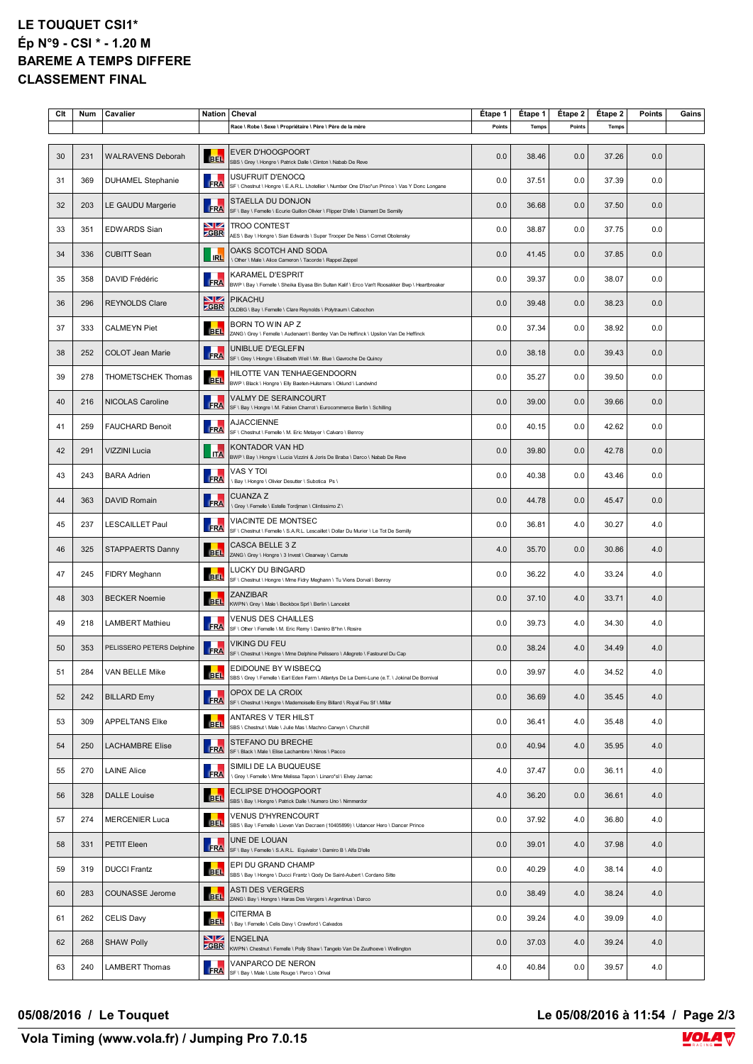#### **LE TOUQUET CSI1\* Ép N°9 - CSI \* - 1.20 M BAREME A TEMPS DIFFERE CLASSEMENT FINAL**

| Clt | Num | Cavalier                  | Nation             | Cheval                                                                                                                     | Étape 1 | Étape 1      | Étape 2 | Étape 2      | Points | Gains |
|-----|-----|---------------------------|--------------------|----------------------------------------------------------------------------------------------------------------------------|---------|--------------|---------|--------------|--------|-------|
|     |     |                           |                    | Race \ Robe \ Sexe \ Propriétaire \ Père \ Père de la mère                                                                 | Points  | <b>Temps</b> | Points  | <b>Temps</b> |        |       |
| 30  | 231 | <b>WALRAVENS Deborah</b>  | <b>BEL</b>         | <b>EVER D'HOOGPOORT</b><br>SBS \ Grey \ Hongre \ Patrick Dalle \ Clinton \ Nabab De Reve                                   | 0.0     | 38.46        | 0.0     | 37.26        | 0.0    |       |
| 31  | 369 | <b>DUHAMEL Stephanie</b>  | FRA                | USUFRUIT D'ENOCQ<br>SF \ Chestnut \ Hongre \ E.A.R.L. Lhotellier \ Number One D'iso*un Prince \ Vas Y Donc Longane         | 0.0     | 37.51        | 0.0     | 37.39        | 0.0    |       |
| 32  | 203 | LE GAUDU Margerie         | <b>FRA</b>         | STAELLA DU DONJON<br>SF \ Bay \ Femelle \ Ecurie Guillon Olivier \ Flipper D'elle \ Diamant De Semilly                     | 0.0     | 36.68        | 0.0     | 37.50        | 0.0    |       |
| 33  | 351 | <b>EDWARDS Sian</b>       | VZ<br><b>ZGBR</b>  | <b>TROO CONTEST</b><br>AES \ Bay \ Hongre \ Sian Edwards \ Super Trooper De Ness \ Cornet Obolensky                        | 0.0     | 38.87        | 0.0     | 37.75        | 0.0    |       |
| 34  | 336 | <b>CUBITT Sean</b>        | <b>IRL</b>         | OAKS SCOTCH AND SODA<br>Other \ Male \ Alice Cameron \ Tacorde \ Rappel Zappel                                             | 0.0     | 41.45        | 0.0     | 37.85        | 0.0    |       |
| 35  | 358 | DAVID Frédéric            | <b>FRA</b>         | KARAMEL D'ESPRIT<br>BWP \ Bay \ Femelle \ Sheika Elyasa Bin Sultan Kalif \ Erco Van't Roosakker Bwp \ Heartbreaker         | 0.0     | 39.37        | 0.0     | 38.07        | 0.0    |       |
| 36  | 296 | <b>REYNOLDS Clare</b>     | NZ.<br><b>ZGBR</b> | <b>PIKACHU</b><br>OLDBG \ Bay \ Femelle \ Clare Reynolds \ Polytraum \ Cabochon                                            | 0.0     | 39.48        | 0.0     | 38.23        | 0.0    |       |
| 37  | 333 | <b>CALMEYN Piet</b>       | <b>BBL</b>         | BORN TO WIN AP Z<br>ZANG \ Grey \ Femelle \ Audenaert \ Bentley Van De Heffinck \ Upsilon Van De Heffinck                  | 0.0     | 37.34        | 0.0     | 38.92        | 0.0    |       |
| 38  | 252 | <b>COLOT Jean Marie</b>   | <b>FRA</b>         | UNIBLUE D'EGLEFIN<br>SF \ Grey \ Hongre \ Elisabeth Weil \ Mr. Blue \ Gavroche De Quincy                                   | 0.0     | 38.18        | 0.0     | 39.43        | 0.0    |       |
| 39  | 278 | THOMETSCHEK Thomas        | <b>BEL</b>         | HILOTTE VAN TENHAEGENDOORN<br>BWP \ Black \ Hongre \ Elly Baeten-Hulsmans \ Oklund \ Landwind                              | 0.0     | 35.27        | 0.0     | 39.50        | 0.0    |       |
| 40  | 216 | NICOLAS Caroline          | <b>FRA</b>         | VALMY DE SERAINCOURT<br>SF \ Bay \ Hongre \ M. Fabien Charrot \ Eurocommerce Berlin \ Schilling                            | 0.0     | 39.00        | 0.0     | 39.66        | 0.0    |       |
| 41  | 259 | <b>FAUCHARD Benoit</b>    | FRA                | <b>AJACCIENNE</b><br>SF \ Chestnut \ Femelle \ M. Eric Metayer \ Calvaro \ Benroy                                          | 0.0     | 40.15        | 0.0     | 42.62        | 0.0    |       |
| 42  | 291 | <b>VIZZINI Lucia</b>      | <b>ITA</b>         | KONTADOR VAN HD<br>BWP \ Bay \ Hongre \ Lucia Vizzini & Joris De Braba \ Darco \ Nabab De Reve                             | 0.0     | 39.80        | 0.0     | 42.78        | 0.0    |       |
| 43  | 243 | <b>BARA Adrien</b>        | <b>FRA</b>         | VAS Y TOI<br>\ Bay \ Hongre \ Olivier Desutter \ Subotica Ps \                                                             | 0.0     | 40.38        | 0.0     | 43.46        | 0.0    |       |
| 44  | 363 | DAVID Romain              | FRA                | <b>CUANZA Z</b><br>\ Grey \ Femelle \ Estelle Tordjman \ Clintissimo Z \                                                   | 0.0     | 44.78        | 0.0     | 45.47        | 0.0    |       |
| 45  | 237 | <b>LESCAILLET Paul</b>    | FRA                | VIACINTE DE MONTSEC<br>SF \ Chestnut \ Femelle \ S.A.R.L. Lescaillet \ Dollar Du Murier \ Le Tot De Semilly                | 0.0     | 36.81        | 4.0     | 30.27        | 4.0    |       |
| 46  | 325 | STAPPAERTS Danny          | <b>BEL</b>         | CASCA BELLE 3 Z<br>ZANG \ Grey \ Hongre \ 3 Invest \ Clearway \ Carnute                                                    | 4.0     | 35.70        | 0.0     | 30.86        | 4.0    |       |
| 47  | 245 | FIDRY Meghann             | <b>BEL</b>         | LUCKY DU BINGARD<br>SF \ Chestnut \ Hongre \ Mme Fidry Meghann \ Tu Viens Dorval \ Benroy                                  | 0.0     | 36.22        | 4.0     | 33.24        | 4.0    |       |
| 48  | 303 | <b>BECKER Noemie</b>      | <b>BEL</b>         | ZANZIBAR<br>KWPN \ Grey \ Male \ Beckbox Sprl \ Berlin \ Lancelot                                                          | 0.0     | 37.10        | 4.0     | 33.71        | 4.0    |       |
| 49  | 218 | LAMBERT Mathieu           | FRA                | VENUS DES CHAILLES<br>SF \ Other \ Femelle \ M. Eric Remy \ Damiro B*hn \ Rosire                                           | 0.0     | 39.73        | 4.0     | 34.30        | 4.0    |       |
| 50  | 353 | PELISSERO PETERS Delphine | <b>FRA</b>         | VIKING DU FEU<br>SF \ Chestnut \ Hongre \ Mme Delphine Pelissero \ Allegreto \ Fastourel Du Cap                            | 0.0     | 38.24        | 4.0     | 34.49        | 4.0    |       |
| 51  | 284 | VAN BELLE Mike            | <b>BEL</b>         | <b>EDIDOUNE BY WISBECQ</b><br>SBS \ Grey \ Femelle \ Earl Eden Farm \ Atlantys De La Demi-Lune (e.T. \ Jokinal De Bornival | 0.0     | 39.97        | $4.0\,$ | 34.52        | 4.0    |       |
| 52  | 242 | <b>BILLARD Emy</b>        | FRA                | OPOX DE LA CROIX<br>SF \ Chestnut \ Hongre \ Mademoiselle Emy Billard \ Royal Feu Sf \ Millar                              | 0.0     | 36.69        | 4.0     | 35.45        | 4.0    |       |
| 53  | 309 | <b>APPELTANS Elke</b>     | <b>BEL</b>         | ANTARES V TER HILST<br>SBS \ Chestnut \ Male \ Julie Mas \ Machno Carwyn \ Churchill                                       | 0.0     | 36.41        | 4.0     | 35.48        | 4.0    |       |
| 54  | 250 | <b>LACHAMBRE Elise</b>    | FRA                | STEFANO DU BRECHE<br>SF \ Black \ Male \ Elise Lachambre \ Ninos \ Pacco                                                   | 0.0     | 40.94        | 4.0     | 35.95        | 4.0    |       |
| 55  | 270 | <b>LAINE Alice</b>        | <b>FRA</b>         | SIMILI DE LA BUQUEUSE<br>\ Grey \ Femelle \ Mme Melissa Tapon \ Linaro*sl \ Elvey Jarnac                                   | 4.0     | 37.47        | 0.0     | 36.11        | 4.0    |       |
| 56  | 328 | <b>DALLE Louise</b>       | <b>BEL</b>         | ECLIPSE D'HOOGPOORT<br>SBS \ Bay \ Hongre \ Patrick Dalle \ Numero Uno \ Nimmerdor                                         | 4.0     | 36.20        | 0.0     | 36.61        | 4.0    |       |
| 57  | 274 | <b>MERCENIER Luca</b>     | <b>BEL</b>         | <b>VENUS D'HYRENCOURT</b><br>SBS \ Bay \ Femelle \ Lieven Van Decraen (10405899) \ Udancer Hero \ Dancer Prince            | 0.0     | 37.92        | 4.0     | 36.80        | 4.0    |       |
| 58  | 331 | PETIT Eleen               | FRA                | UNE DE LOUAN<br>SF \ Bay \ Femelle \ S.A.R.L. Equivalor \ Damiro B \ Alfa D'elle                                           | 0.0     | 39.01        | 4.0     | 37.98        | 4.0    |       |
| 59  | 319 | <b>DUCCI Frantz</b>       | <b>BEL</b>         | EPI DU GRAND CHAMP<br>SBS \ Bay \ Hongre \ Ducci Frantz \ Qody De Saint-Aubert \ Cordano Sitte                             | 0.0     | 40.29        | 4.0     | 38.14        | 4.0    |       |
| 60  | 283 | COUNASSE Jerome           | <b>BEL</b>         | <b>ASTI DES VERGERS</b><br>ZANG \ Bay \ Hongre \ Haras Des Vergers \ Argentinus \ Darco                                    | 0.0     | 38.49        | 4.0     | 38.24        | 4.0    |       |
| 61  | 262 | CELIS Davy                | <b>BEL</b>         | <b>CITERMA B</b><br>\ Bay \ Femelle \ Celis Davy \ Crawford \ Calvados                                                     | 0.0     | 39.24        | 4.0     | 39.09        | 4.0    |       |
| 62  | 268 | <b>SHAW Polly</b>         | NZ.<br><b>GBR</b>  | ENGELINA<br>KWPN \ Chestnut \ Femelle \ Polly Shaw \ Tangelo Van De Zuuthoeve \ Wellington                                 | 0.0     | 37.03        | 4.0     | 39.24        | 4.0    |       |
| 63  | 240 | LAMBERT Thomas            | <b>FRA</b>         | VANPARCO DE NERON<br>SF \ Bay \ Male \ Liste Rouge \ Parco \ Orival                                                        | 4.0     | 40.84        | 0.0     | 39.57        | 4.0    |       |

**05/08/2016 / Le Touquet Le 05/08/2016 à 11:54 / Page 2/3**